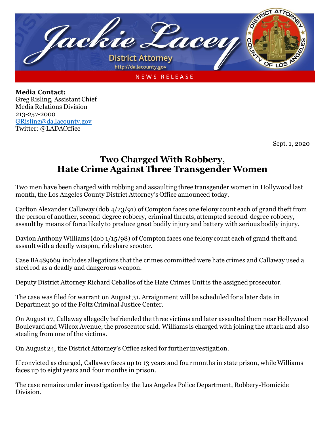

**Media Contact:** Greg Risling, Assistant Chief Media Relations Division 213-257-2000 [GRisling@da.lacounty.gov](mailto:GRisling@da.lacounty.gov) Twitter: @LADAOffice

Sept. 1, 2020

## **Two Charged With Robbery, Hate Crime Against Three Transgender Women**

Two men have been charged with robbing and assaulting three transgender women in Hollywood last month, the Los Angeles County District Attorney's Office announced today.

Carlton Alexander Callaway (dob 4/23/91) of Compton faces one felony count each of grand theft from the person of another, second-degree robbery, criminal threats, attempted second-degree robbery, assault by means of force likely to produce great bodily injury and battery with serious bodily injury.

Davion Anthony Williams (dob 1/15/98) of Compton faces one felony count each of grand theft and assault with a deadly weapon, rideshare scooter.

Case BA489669 includes allegations that the crimes committed were hate crimes and Callaway used a steel rod as a deadly and dangerous weapon.

Deputy District Attorney Richard Ceballos of the Hate Crimes Unit is the assigned prosecutor.

The case was filed for warrant on August 31. Arraignment will be scheduled for a later date in Department 30 of the Foltz Criminal Justice Center.

On August 17, Callaway allegedly befriended the three victims and later assaulted them near Hollywood Boulevard and Wilcox Avenue, the prosecutor said. Williams is charged with joining the attack and also stealing from one of the victims.

On August 24, the District Attorney's Office asked for further investigation.

If convicted as charged, Callaway faces up to 13 years and four months in state prison, while Williams faces up to eight years and four months in prison.

The case remains under investigation by the Los Angeles Police Department, Robbery-Homicide Division.